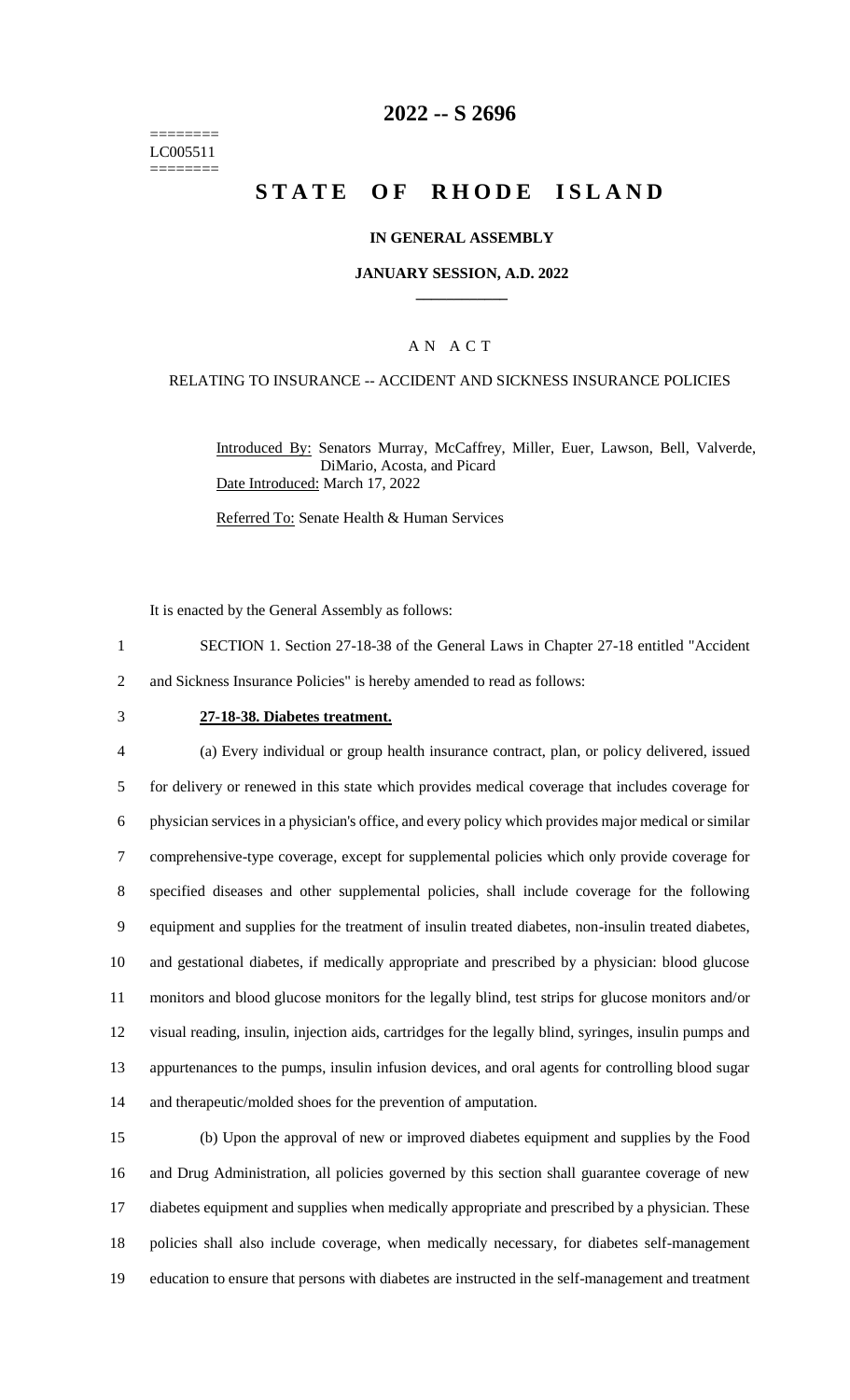======== LC005511 ========

# **2022 -- S 2696**

# **STATE OF RHODE ISLAND**

### **IN GENERAL ASSEMBLY**

#### **JANUARY SESSION, A.D. 2022 \_\_\_\_\_\_\_\_\_\_\_\_**

## A N A C T

#### RELATING TO INSURANCE -- ACCIDENT AND SICKNESS INSURANCE POLICIES

Introduced By: Senators Murray, McCaffrey, Miller, Euer, Lawson, Bell, Valverde, DiMario, Acosta, and Picard Date Introduced: March 17, 2022

Referred To: Senate Health & Human Services

It is enacted by the General Assembly as follows:

- 1 SECTION 1. Section 27-18-38 of the General Laws in Chapter 27-18 entitled "Accident 2 and Sickness Insurance Policies" is hereby amended to read as follows:
- 

#### 3 **27-18-38. Diabetes treatment.**

 (a) Every individual or group health insurance contract, plan, or policy delivered, issued for delivery or renewed in this state which provides medical coverage that includes coverage for physician services in a physician's office, and every policy which provides major medical or similar comprehensive-type coverage, except for supplemental policies which only provide coverage for specified diseases and other supplemental policies, shall include coverage for the following equipment and supplies for the treatment of insulin treated diabetes, non-insulin treated diabetes, and gestational diabetes, if medically appropriate and prescribed by a physician: blood glucose monitors and blood glucose monitors for the legally blind, test strips for glucose monitors and/or visual reading, insulin, injection aids, cartridges for the legally blind, syringes, insulin pumps and appurtenances to the pumps, insulin infusion devices, and oral agents for controlling blood sugar and therapeutic/molded shoes for the prevention of amputation.

 (b) Upon the approval of new or improved diabetes equipment and supplies by the Food and Drug Administration, all policies governed by this section shall guarantee coverage of new diabetes equipment and supplies when medically appropriate and prescribed by a physician. These policies shall also include coverage, when medically necessary, for diabetes self-management education to ensure that persons with diabetes are instructed in the self-management and treatment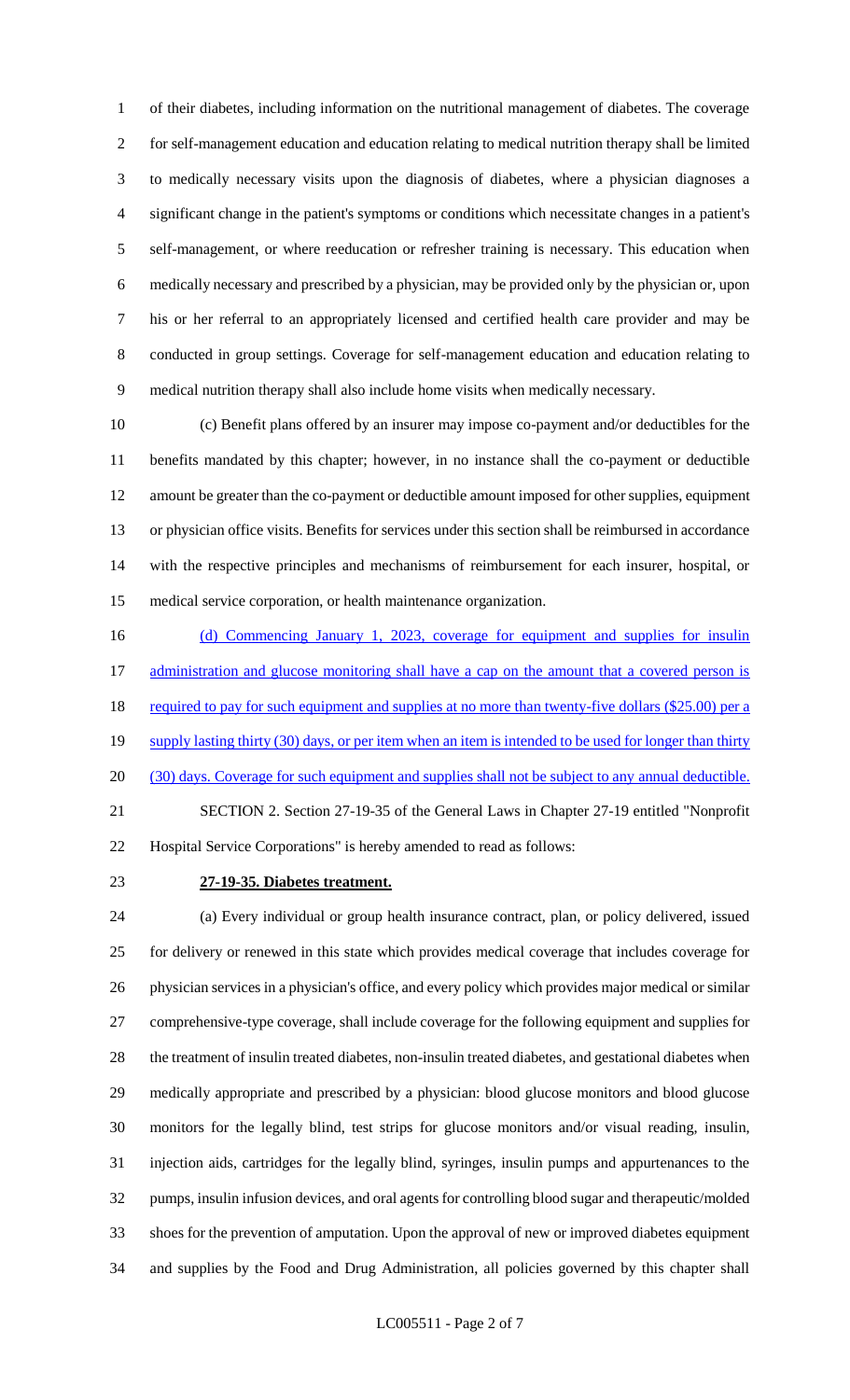of their diabetes, including information on the nutritional management of diabetes. The coverage for self-management education and education relating to medical nutrition therapy shall be limited to medically necessary visits upon the diagnosis of diabetes, where a physician diagnoses a significant change in the patient's symptoms or conditions which necessitate changes in a patient's self-management, or where reeducation or refresher training is necessary. This education when medically necessary and prescribed by a physician, may be provided only by the physician or, upon his or her referral to an appropriately licensed and certified health care provider and may be conducted in group settings. Coverage for self-management education and education relating to medical nutrition therapy shall also include home visits when medically necessary.

 (c) Benefit plans offered by an insurer may impose co-payment and/or deductibles for the benefits mandated by this chapter; however, in no instance shall the co-payment or deductible amount be greater than the co-payment or deductible amount imposed for other supplies, equipment or physician office visits. Benefits for services under this section shall be reimbursed in accordance with the respective principles and mechanisms of reimbursement for each insurer, hospital, or medical service corporation, or health maintenance organization.

16 (d) Commencing January 1, 2023, coverage for equipment and supplies for insulin 17 administration and glucose monitoring shall have a cap on the amount that a covered person is 18 required to pay for such equipment and supplies at no more than twenty-five dollars (\$25.00) per a 19 supply lasting thirty (30) days, or per item when an item is intended to be used for longer than thirty 20 (30) days. Coverage for such equipment and supplies shall not be subject to any annual deductible. SECTION 2. Section 27-19-35 of the General Laws in Chapter 27-19 entitled "Nonprofit Hospital Service Corporations" is hereby amended to read as follows:

## **27-19-35. Diabetes treatment.**

 (a) Every individual or group health insurance contract, plan, or policy delivered, issued for delivery or renewed in this state which provides medical coverage that includes coverage for physician services in a physician's office, and every policy which provides major medical or similar comprehensive-type coverage, shall include coverage for the following equipment and supplies for the treatment of insulin treated diabetes, non-insulin treated diabetes, and gestational diabetes when medically appropriate and prescribed by a physician: blood glucose monitors and blood glucose monitors for the legally blind, test strips for glucose monitors and/or visual reading, insulin, injection aids, cartridges for the legally blind, syringes, insulin pumps and appurtenances to the pumps, insulin infusion devices, and oral agents for controlling blood sugar and therapeutic/molded shoes for the prevention of amputation. Upon the approval of new or improved diabetes equipment and supplies by the Food and Drug Administration, all policies governed by this chapter shall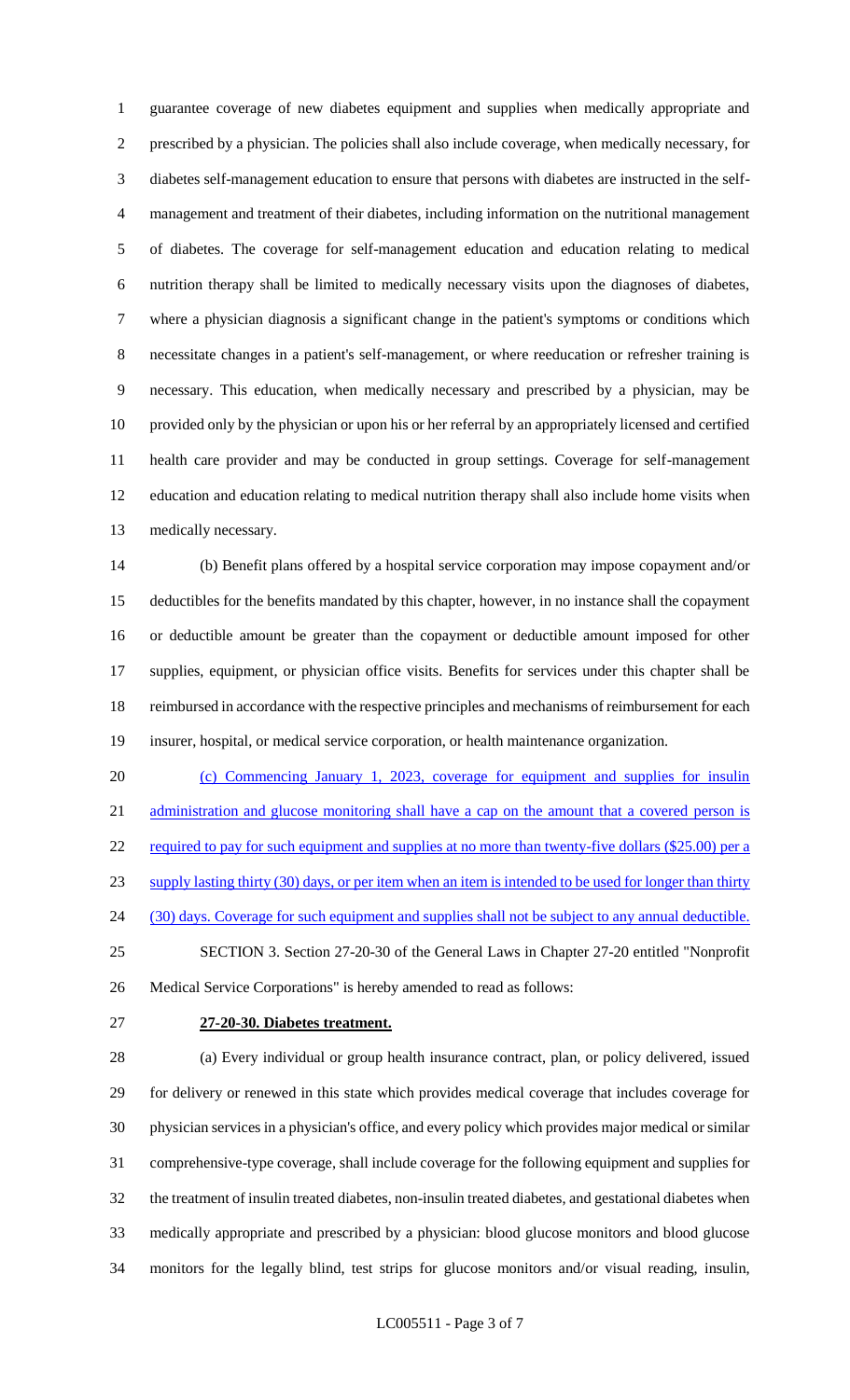guarantee coverage of new diabetes equipment and supplies when medically appropriate and prescribed by a physician. The policies shall also include coverage, when medically necessary, for diabetes self-management education to ensure that persons with diabetes are instructed in the self- management and treatment of their diabetes, including information on the nutritional management of diabetes. The coverage for self-management education and education relating to medical nutrition therapy shall be limited to medically necessary visits upon the diagnoses of diabetes, where a physician diagnosis a significant change in the patient's symptoms or conditions which necessitate changes in a patient's self-management, or where reeducation or refresher training is necessary. This education, when medically necessary and prescribed by a physician, may be provided only by the physician or upon his or her referral by an appropriately licensed and certified health care provider and may be conducted in group settings. Coverage for self-management education and education relating to medical nutrition therapy shall also include home visits when medically necessary.

 (b) Benefit plans offered by a hospital service corporation may impose copayment and/or deductibles for the benefits mandated by this chapter, however, in no instance shall the copayment or deductible amount be greater than the copayment or deductible amount imposed for other supplies, equipment, or physician office visits. Benefits for services under this chapter shall be reimbursed in accordance with the respective principles and mechanisms of reimbursement for each insurer, hospital, or medical service corporation, or health maintenance organization.

 (c) Commencing January 1, 2023, coverage for equipment and supplies for insulin administration and glucose monitoring shall have a cap on the amount that a covered person is 22 required to pay for such equipment and supplies at no more than twenty-five dollars (\$25.00) per a supply lasting thirty (30) days, or per item when an item is intended to be used for longer than thirty 24 (30) days. Coverage for such equipment and supplies shall not be subject to any annual deductible. SECTION 3. Section 27-20-30 of the General Laws in Chapter 27-20 entitled "Nonprofit Medical Service Corporations" is hereby amended to read as follows:

## **27-20-30. Diabetes treatment.**

 (a) Every individual or group health insurance contract, plan, or policy delivered, issued for delivery or renewed in this state which provides medical coverage that includes coverage for physician services in a physician's office, and every policy which provides major medical or similar comprehensive-type coverage, shall include coverage for the following equipment and supplies for the treatment of insulin treated diabetes, non-insulin treated diabetes, and gestational diabetes when medically appropriate and prescribed by a physician: blood glucose monitors and blood glucose monitors for the legally blind, test strips for glucose monitors and/or visual reading, insulin,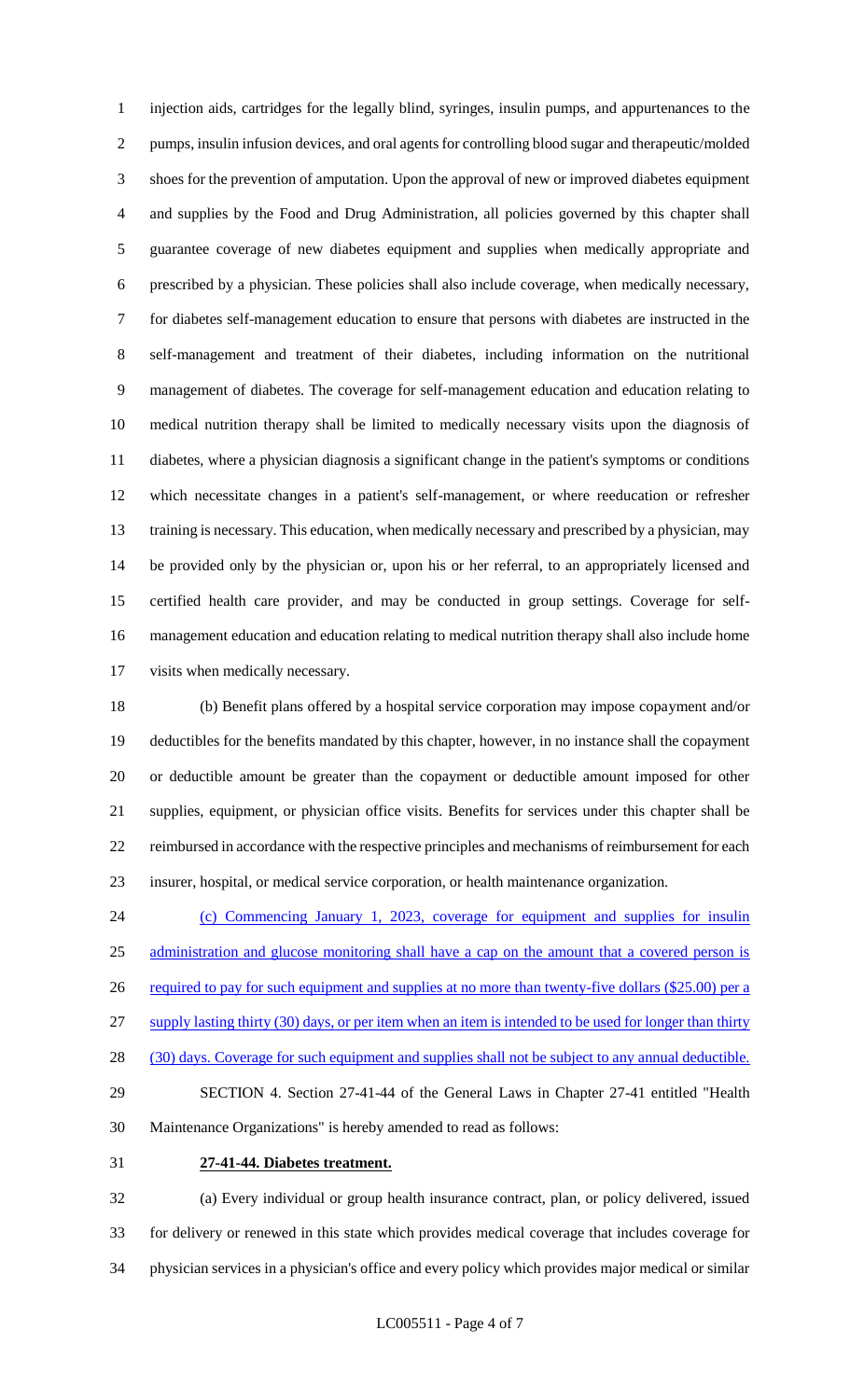injection aids, cartridges for the legally blind, syringes, insulin pumps, and appurtenances to the pumps, insulin infusion devices, and oral agents for controlling blood sugar and therapeutic/molded shoes for the prevention of amputation. Upon the approval of new or improved diabetes equipment and supplies by the Food and Drug Administration, all policies governed by this chapter shall guarantee coverage of new diabetes equipment and supplies when medically appropriate and prescribed by a physician. These policies shall also include coverage, when medically necessary, for diabetes self-management education to ensure that persons with diabetes are instructed in the self-management and treatment of their diabetes, including information on the nutritional management of diabetes. The coverage for self-management education and education relating to medical nutrition therapy shall be limited to medically necessary visits upon the diagnosis of diabetes, where a physician diagnosis a significant change in the patient's symptoms or conditions which necessitate changes in a patient's self-management, or where reeducation or refresher training is necessary. This education, when medically necessary and prescribed by a physician, may be provided only by the physician or, upon his or her referral, to an appropriately licensed and certified health care provider, and may be conducted in group settings. Coverage for self- management education and education relating to medical nutrition therapy shall also include home visits when medically necessary.

 (b) Benefit plans offered by a hospital service corporation may impose copayment and/or deductibles for the benefits mandated by this chapter, however, in no instance shall the copayment or deductible amount be greater than the copayment or deductible amount imposed for other supplies, equipment, or physician office visits. Benefits for services under this chapter shall be reimbursed in accordance with the respective principles and mechanisms of reimbursement for each insurer, hospital, or medical service corporation, or health maintenance organization.

 (c) Commencing January 1, 2023, coverage for equipment and supplies for insulin administration and glucose monitoring shall have a cap on the amount that a covered person is 26 required to pay for such equipment and supplies at no more than twenty-five dollars (\$25.00) per a 27 supply lasting thirty (30) days, or per item when an item is intended to be used for longer than thirty 28 (30) days. Coverage for such equipment and supplies shall not be subject to any annual deductible. SECTION 4. Section 27-41-44 of the General Laws in Chapter 27-41 entitled "Health Maintenance Organizations" is hereby amended to read as follows: **27-41-44. Diabetes treatment.**

 (a) Every individual or group health insurance contract, plan, or policy delivered, issued for delivery or renewed in this state which provides medical coverage that includes coverage for physician services in a physician's office and every policy which provides major medical or similar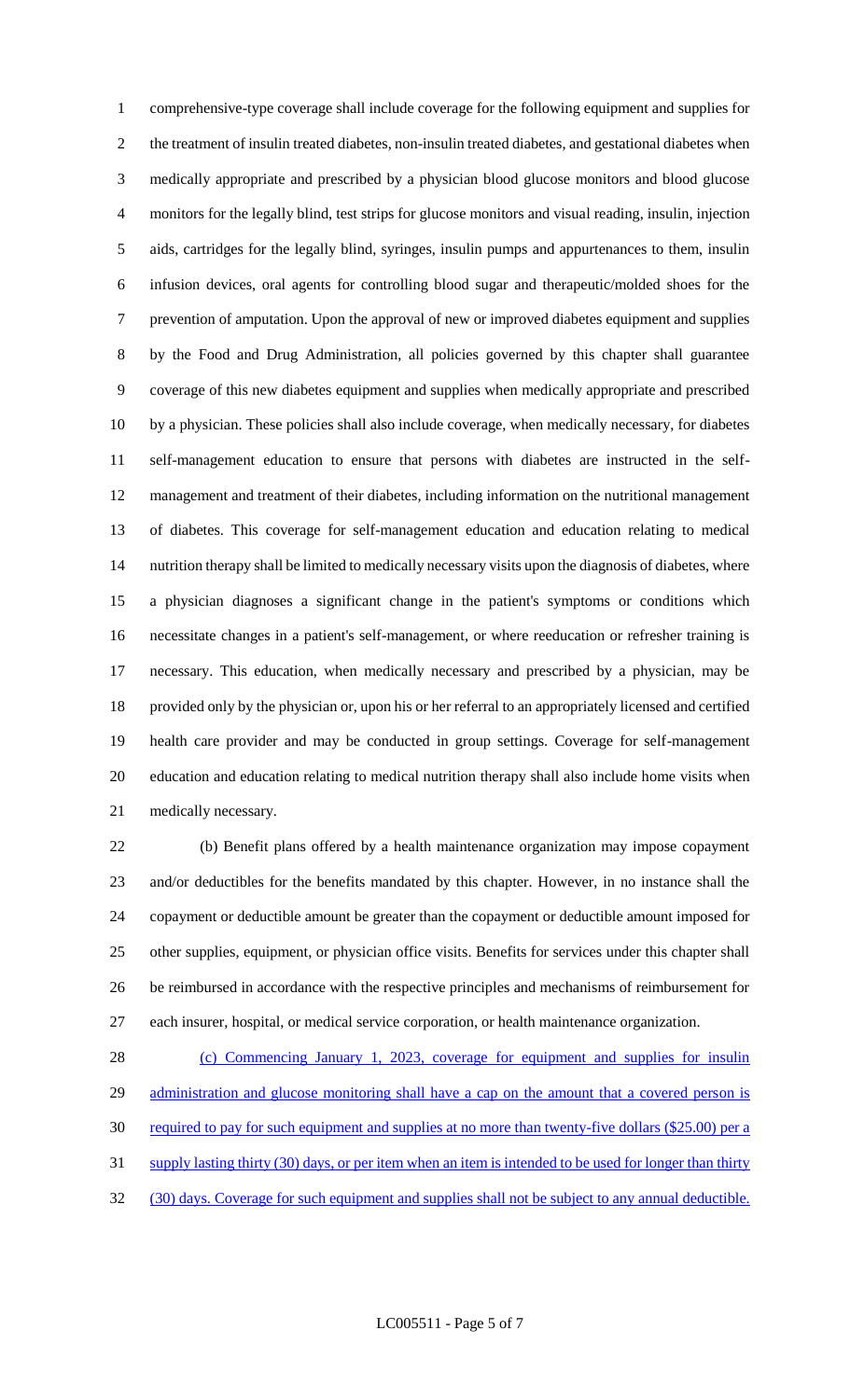comprehensive-type coverage shall include coverage for the following equipment and supplies for the treatment of insulin treated diabetes, non-insulin treated diabetes, and gestational diabetes when medically appropriate and prescribed by a physician blood glucose monitors and blood glucose monitors for the legally blind, test strips for glucose monitors and visual reading, insulin, injection aids, cartridges for the legally blind, syringes, insulin pumps and appurtenances to them, insulin infusion devices, oral agents for controlling blood sugar and therapeutic/molded shoes for the prevention of amputation. Upon the approval of new or improved diabetes equipment and supplies by the Food and Drug Administration, all policies governed by this chapter shall guarantee coverage of this new diabetes equipment and supplies when medically appropriate and prescribed by a physician. These policies shall also include coverage, when medically necessary, for diabetes self-management education to ensure that persons with diabetes are instructed in the self- management and treatment of their diabetes, including information on the nutritional management of diabetes. This coverage for self-management education and education relating to medical nutrition therapy shall be limited to medically necessary visits upon the diagnosis of diabetes, where a physician diagnoses a significant change in the patient's symptoms or conditions which necessitate changes in a patient's self-management, or where reeducation or refresher training is necessary. This education, when medically necessary and prescribed by a physician, may be provided only by the physician or, upon his or her referral to an appropriately licensed and certified health care provider and may be conducted in group settings. Coverage for self-management education and education relating to medical nutrition therapy shall also include home visits when medically necessary.

 (b) Benefit plans offered by a health maintenance organization may impose copayment and/or deductibles for the benefits mandated by this chapter. However, in no instance shall the copayment or deductible amount be greater than the copayment or deductible amount imposed for other supplies, equipment, or physician office visits. Benefits for services under this chapter shall be reimbursed in accordance with the respective principles and mechanisms of reimbursement for each insurer, hospital, or medical service corporation, or health maintenance organization.

 (c) Commencing January 1, 2023, coverage for equipment and supplies for insulin 29 administration and glucose monitoring shall have a cap on the amount that a covered person is 30 required to pay for such equipment and supplies at no more than twenty-five dollars (\$25.00) per a 31 supply lasting thirty (30) days, or per item when an item is intended to be used for longer than thirty 32 (30) days. Coverage for such equipment and supplies shall not be subject to any annual deductible.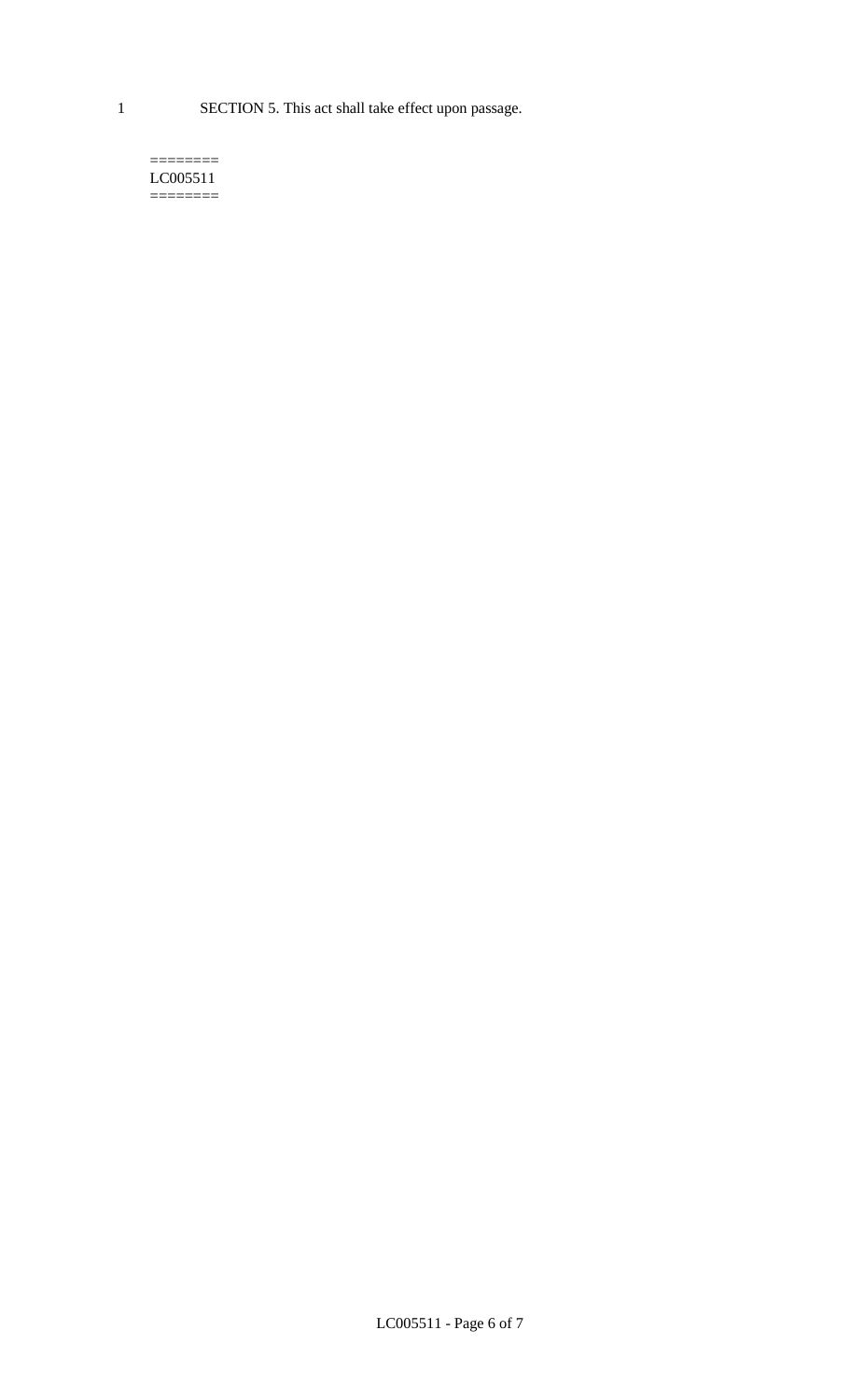1 SECTION 5. This act shall take effect upon passage.

#### $=$ LC005511  $=$